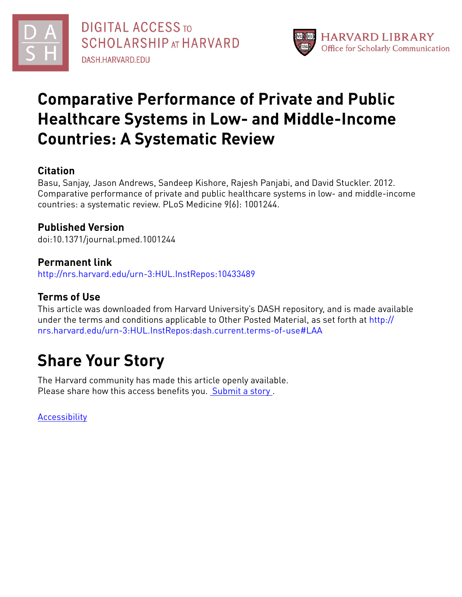



## **Comparative Performance of Private and Public Healthcare Systems in Low- and Middle-Income Countries: A Systematic Review**

## **Citation**

Basu, Sanjay, Jason Andrews, Sandeep Kishore, Rajesh Panjabi, and David Stuckler. 2012. Comparative performance of private and public healthcare systems in low- and middle-income countries: a systematic review. PLoS Medicine 9(6): 1001244.

## **Published Version**

doi:10.1371/journal.pmed.1001244

### **Permanent link**

<http://nrs.harvard.edu/urn-3:HUL.InstRepos:10433489>

### **Terms of Use**

This article was downloaded from Harvard University's DASH repository, and is made available under the terms and conditions applicable to Other Posted Material, as set forth at [http://](http://nrs.harvard.edu/urn-3:HUL.InstRepos:dash.current.terms-of-use#LAA) [nrs.harvard.edu/urn-3:HUL.InstRepos:dash.current.terms-of-use#LAA](http://nrs.harvard.edu/urn-3:HUL.InstRepos:dash.current.terms-of-use#LAA)

# **Share Your Story**

The Harvard community has made this article openly available. Please share how this access benefits you. [Submit](http://osc.hul.harvard.edu/dash/open-access-feedback?handle=&title=Comparative%20Performance%20of%20Private%20and%20Public%20Healthcare%20Systems%20in%20Low-%20and%20Middle-Income%20Countries:%20A%20Systematic%20Review&community=1/4454685&collection=1/4454686&owningCollection1/4454686&harvardAuthors=437a6b6fce21fad1b7b154b90ba65bae&department) a story.

[Accessibility](https://dash.harvard.edu/pages/accessibility)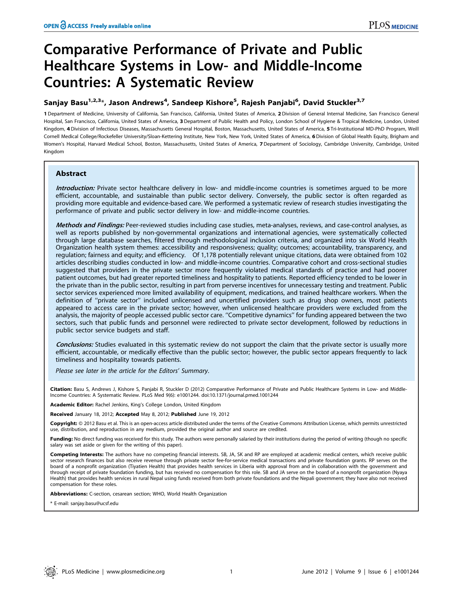## Comparative Performance of Private and Public Healthcare Systems in Low- and Middle-Income Countries: A Systematic Review

#### Sanjay Basu<sup>1,2,3</sup>\*, Jason Andrews<sup>4</sup>, Sandeep Kishore<sup>5</sup>, Rajesh Panjabi<sup>6</sup>, David Stuckler<sup>3,7</sup>

1 Department of Medicine, University of California, San Francisco, California, United States of America, 2 Division of General Internal Medicine, San Francisco General Hospital, San Francisco, California, United States of America, 3 Department of Public Health and Policy, London School of Hygiene & Tropical Medicine, London, United Kingdom, 4 Division of Infectious Diseases, Massachusetts General Hospital, Boston, Massachusetts, United States of America, 5 Tri-Institutional MD-PhD Program, Weill Cornell Medical College/Rockefeller University/Sloan-Kettering Institute, New York, New York, United States of America, 6Division of Global Health Equity, Brigham and Women's Hospital, Harvard Medical School, Boston, Massachusetts, United States of America, 7 Department of Sociology, Cambridge University, Cambridge, United Kingdom

#### Abstract

Introduction: Private sector healthcare delivery in low- and middle-income countries is sometimes argued to be more efficient, accountable, and sustainable than public sector delivery. Conversely, the public sector is often regarded as providing more equitable and evidence-based care. We performed a systematic review of research studies investigating the performance of private and public sector delivery in low- and middle-income countries.

Methods and Findings: Peer-reviewed studies including case studies, meta-analyses, reviews, and case-control analyses, as well as reports published by non-governmental organizations and international agencies, were systematically collected through large database searches, filtered through methodological inclusion criteria, and organized into six World Health Organization health system themes: accessibility and responsiveness; quality; outcomes; accountability, transparency, and regulation; fairness and equity; and efficiency. Of 1,178 potentially relevant unique citations, data were obtained from 102 articles describing studies conducted in low- and middle-income countries. Comparative cohort and cross-sectional studies suggested that providers in the private sector more frequently violated medical standards of practice and had poorer patient outcomes, but had greater reported timeliness and hospitality to patients. Reported efficiency tended to be lower in the private than in the public sector, resulting in part from perverse incentives for unnecessary testing and treatment. Public sector services experienced more limited availability of equipment, medications, and trained healthcare workers. When the definition of ''private sector'' included unlicensed and uncertified providers such as drug shop owners, most patients appeared to access care in the private sector; however, when unlicensed healthcare providers were excluded from the analysis, the majority of people accessed public sector care. ''Competitive dynamics'' for funding appeared between the two sectors, such that public funds and personnel were redirected to private sector development, followed by reductions in public sector service budgets and staff.

Conclusions: Studies evaluated in this systematic review do not support the claim that the private sector is usually more efficient, accountable, or medically effective than the public sector; however, the public sector appears frequently to lack timeliness and hospitality towards patients.

Please see later in the article for the Editors' Summary.

Citation: Basu S, Andrews J, Kishore S, Panjabi R, Stuckler D (2012) Comparative Performance of Private and Public Healthcare Systems in Low- and Middle-Income Countries: A Systematic Review. PLoS Med 9(6): e1001244. doi:10.1371/journal.pmed.1001244

Academic Editor: Rachel Jenkins, King's College London, United Kingdom

Received January 18, 2012; Accepted May 8, 2012; Published June 19, 2012

Copyright: © 2012 Basu et al. This is an open-access article distributed under the terms of the Creative Commons Attribution License, which permits unrestricted use, distribution, and reproduction in any medium, provided the original author and source are credited.

Funding: No direct funding was received for this study. The authors were personally salaried by their institutions during the period of writing (though no specific salary was set aside or given for the writing of this paper).

Competing Interests: The authors have no competing financial interests. SB, JA, SK and RP are employed at academic medical centers, which receive public sector research finances but also receive revenue through private sector fee-for-service medical transactions and private foundation grants. RP serves on the board of a nonprofit organization (Tiyatien Health) that provides health services in Liberia with approval from and in collaboration with the government and through receipt of private foundation funding, but has received no compensation for this role. SB and JA serve on the board of a nonprofit organization (Nyaya Health) that provides health services in rural Nepal using funds received from both private foundations and the Nepali government; they have also not received compensation for these roles.

Abbreviations: C-section, cesarean section; WHO, World Health Organization

\* E-mail: sanjay.basu@ucsf.edu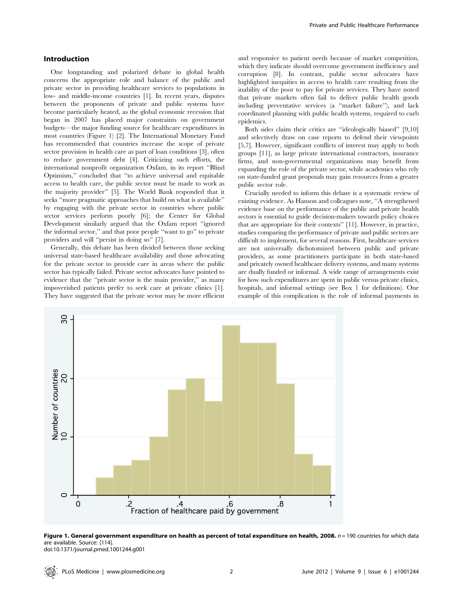#### Introduction

One longstanding and polarized debate in global health concerns the appropriate role and balance of the public and private sector in providing healthcare services to populations in low- and middle-income countries [1]. In recent years, disputes between the proponents of private and public systems have become particularly heated, as the global economic recession that began in 2007 has placed major constraints on government budgets—the major funding source for healthcare expenditures in most countries (Figure 1) [2]. The International Monetary Fund has recommended that countries increase the scope of private sector provision in health care as part of loan conditions [3], often to reduce government debt [4]. Criticizing such efforts, the international nonprofit organization Oxfam, in its report ''Blind Optimism,'' concluded that ''to achieve universal and equitable access to health care, the public sector must be made to work as the majority provider'' [5]. The World Bank responded that it seeks ''more pragmatic approaches that build on what is available'' by engaging with the private sector in countries where public sector services perform poorly [6]; the Center for Global Development similarly argued that the Oxfam report ''ignored the informal sector,'' and that poor people ''want to go'' to private providers and will ''persist in doing so'' [7].

Generally, this debate has been divided between those seeking universal state-based healthcare availability and those advocating for the private sector to provide care in areas where the public sector has typically failed. Private sector advocates have pointed to evidence that the ''private sector is the main provider,'' as many impoverished patients prefer to seek care at private clinics [1]. They have suggested that the private sector may be more efficient and responsive to patient needs because of market competition, which they indicate should overcome government inefficiency and corruption [8]. In contrast, public sector advocates have highlighted inequities in access to health care resulting from the inability of the poor to pay for private services. They have noted that private markets often fail to deliver public health goods including preventative services (a ''market failure''), and lack coordinated planning with public health systems, required to curb epidemics.

Both sides claim their critics are ''ideologically biased'' [9,10] and selectively draw on case reports to defend their viewpoints [5,7]. However, significant conflicts of interest may apply to both groups [11], as large private international contractors, insurance firms, and non-governmental organizations may benefit from expanding the role of the private sector, while academics who rely on state-funded grant proposals may gain resources from a greater public sector role.

Crucially needed to inform this debate is a systematic review of existing evidence. As Hanson and colleagues note, ''A strengthened evidence base on the performance of the public and private health sectors is essential to guide decision-makers towards policy choices that are appropriate for their contexts'' [11]. However, in practice, studies comparing the performance of private and public sectors are difficult to implement, for several reasons. First, healthcare services are not universally dichotomized between public and private providers, as some practitioners participate in both state-based and privately owned healthcare delivery systems, and many systems are dually funded or informal. A wide range of arrangements exist for how such expenditures are spent in public versus private clinics, hospitals, and informal settings (see Box 1 for definitions). One example of this complication is the role of informal payments in



Figure 1. General government expenditure on health as percent of total expenditure on health, 2008.  $n = 190$  countries for which data are available. Source: [114]. doi:10.1371/journal.pmed.1001244.g001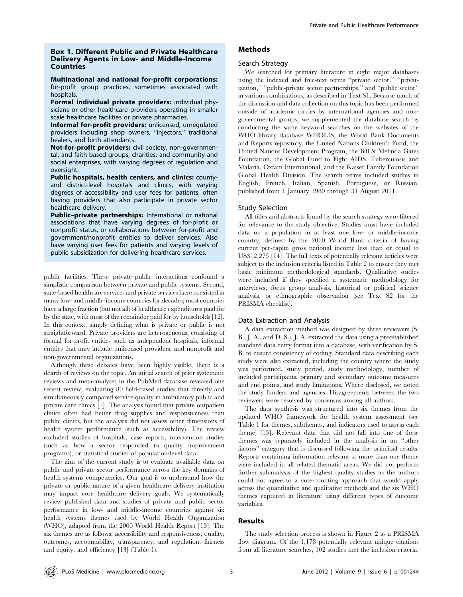#### Box 1. Different Public and Private Healthcare Delivery Agents in Low- and Middle-Income Countries

Multinational and national for-profit corporations: for-profit group practices, sometimes associated with hospitals.

Formal individual private providers: individual physicians or other healthcare providers operating in smaller scale healthcare facilities or private pharmacies.

Informal for-profit providers: unlicensed, unregulated providers including shop owners, ''injectors,'' traditional healers, and birth attendants.

Not-for-profit providers: civil society, non-governmental, and faith-based groups, charities; and community and social enterprises, with varying degrees of regulation and oversight.

Public hospitals, health centers, and clinics: countyand district-level hospitals and clinics, with varying degrees of accessibility and user fees for patients, often having providers that also participate in private sector healthcare delivery.

Public-private partnerships: International or national associations that have varying degrees of for-profit or nonprofit status, or collaborations between for-profit and government/nonprofit entities to deliver services. Also have varying user fees for patients and varying levels of public subsidization for delivering healthcare services.

public facilities. These private–public interactions confound a simplistic comparison between private and public systems. Second, state-based healthcare services and private services have coexisted in many low- and middle-income countries for decades; most countries have a large fraction (but not all) of healthcare expenditures paid for by the state, with most of the remainder paid for by households [12]. In this context, simply defining what is private or public is not straightforward. Private providers are heterogeneous, consisting of formal for-profit entities such as independent hospitals, informal entities that may include unlicensed providers, and nonprofit and non-governmental organizations.

Although these debates have been highly visible, there is a dearth of reviews on the topic. An initial search of prior systematic reviews and meta-analyses in the PubMed database revealed one recent review, evaluating 80 field-based studies that directly and simultaneously compared service quality in ambulatory public and private care clinics [1]. The analysis found that private outpatient clinics often had better drug supplies and responsiveness than public clinics, but the analysis did not assess other dimensions of health system performance (such as accessibility). The review excluded studies of hospitals, case reports, intervention studies (such as how a sector responded to quality improvement programs), or statistical studies of population-level data.

The aim of the current study is to evaluate available data on public and private sector performance across the key domains of health systems competencies. Our goal is to understand how the private or public nature of a given healthcare delivery institution may impact core healthcare delivery goals. We systematically review published data and studies of private and public sector performance in low- and middle-income countries against six health systems themes used by World Health Organization (WHO), adapted from the 2000 World Health Report [13]. The six themes are as follows: accessibility and responsiveness; quality; outcomes; accountability, transparency, and regulation; fairness and equity; and efficiency [13] (Table 1).

#### Methods

#### Search Strategy

We searched for primary literature in eight major databases using the indexed and free-text terms ''private sector,'' ''privatization," "public-private sector partnerships," and "public sector" in various combinations, as described in Text S1. Because much of the discussion and data collection on this topic has been performed outside of academic circles by international agencies and nongovernmental groups, we supplemented the database search by conducting the same keyword searches on the websites of the WHO library database WHOLIS, the World Bank Documents and Reports repository, the United Nations Children's Fund, the United Nations Development Program, the Bill & Melinda Gates Foundation, the Global Fund to Fight AIDS, Tuberculosis and Malaria, Oxfam International, and the Kaiser Family Foundation Global Health Division. The search terms included studies in English, French, Italian, Spanish, Portuguese, or Russian, published from 1 January 1980 through 31 August 2011.

#### Study Selection

All titles and abstracts found by the search strategy were filtered for relevance to the study objective. Studies must have included data on a population in at least one low- or middle-income country, defined by the 2010 World Bank criteria of having current per-capita gross national income less than or equal to US\$12,275 [14]. The full texts of potentially relevant articles were subject to the inclusion criteria listed in Table 2 to ensure they met basic minimum methodological standards. Qualitative studies were included if they specified a systematic methodology for interviews, focus group analysis, historical or political science analysis, or ethnographic observation (see Text S2 for the PRISMA checklist).

#### Data Extraction and Analysis

A data extraction method was designed by three reviewers (S. B., J. A., and D. S.). J. A. extracted the data using a preestablished standard data entry format into a database, with verification by S. B. to ensure consistency of coding. Standard data describing each study were also extracted, including the country where the study was performed, study period, study methodology, number of included participants, primary and secondary outcome measures and end points, and study limitations. Where disclosed, we noted the study funders and agencies. Disagreements between the two reviewers were resolved by consensus among all authors.

The data synthesis was structured into six themes from the updated WHO framework for health system assessment (see Table 1 for themes, subthemes, and indicators used to assess each theme) [13]. Relevant data that did not fall into one of these themes was separately included in the analysis in an ''other factors'' category that is discussed following the principal results. Reports containing information relevant to more than one theme were included in all related thematic areas. We did not perform further subanalysis of the highest quality studies as the authors could not agree to a vote-counting approach that would apply across the quantitative and qualitative methods and the six WHO themes captured in literature using different types of outcome variables.

#### Results

The study selection process is shown in Figure 2 as a PRISMA flow diagram. Of the 1,178 potentially relevant unique citations from all literature searches, 102 studies met the inclusion criteria.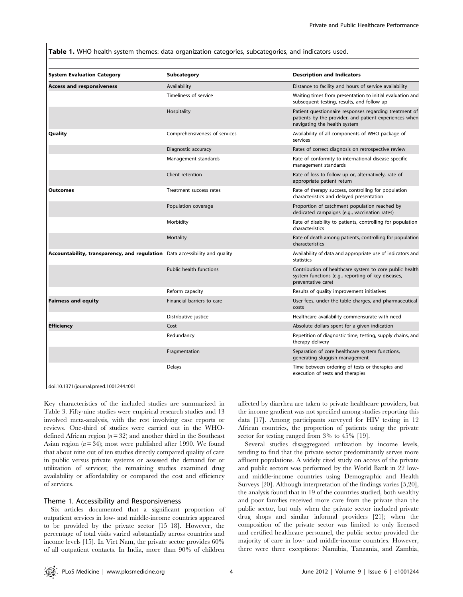Table 1. WHO health system themes: data organization categories, subcategories, and indicators used.

| <b>System Evaluation Category</b>                                           | Subcategory                   | <b>Description and Indicators</b>                                                                                                                |  |  |
|-----------------------------------------------------------------------------|-------------------------------|--------------------------------------------------------------------------------------------------------------------------------------------------|--|--|
| <b>Access and responsiveness</b>                                            | Availability                  | Distance to facility and hours of service availability                                                                                           |  |  |
|                                                                             | Timeliness of service         | Waiting times from presentation to initial evaluation and<br>subsequent testing, results, and follow-up                                          |  |  |
|                                                                             | Hospitality                   | Patient questionnaire responses regarding treatment of<br>patients by the provider, and patient experiences when<br>navigating the health system |  |  |
| Quality                                                                     | Comprehensiveness of services | Availability of all components of WHO package of<br>services                                                                                     |  |  |
|                                                                             | Diagnostic accuracy           | Rates of correct diagnosis on retrospective review                                                                                               |  |  |
|                                                                             | Management standards          | Rate of conformity to international disease-specific<br>management standards                                                                     |  |  |
|                                                                             | Client retention              | Rate of loss to follow-up or, alternatively, rate of<br>appropriate patient return                                                               |  |  |
| Outcomes                                                                    | Treatment success rates       | Rate of therapy success, controlling for population<br>characteristics and delayed presentation                                                  |  |  |
|                                                                             | Population coverage           | Proportion of catchment population reached by<br>dedicated campaigns (e.g., vaccination rates)                                                   |  |  |
|                                                                             | Morbidity                     | Rate of disability to patients, controlling for population<br>characteristics                                                                    |  |  |
|                                                                             | Mortality                     | Rate of death among patients, controlling for population<br>characteristics                                                                      |  |  |
| Accountability, transparency, and regulation Data accessibility and quality |                               | Availability of data and appropriate use of indicators and<br>statistics                                                                         |  |  |
|                                                                             | Public health functions       | Contribution of healthcare system to core public health<br>system functions (e.g., reporting of key diseases,<br>preventative care)              |  |  |
|                                                                             | Reform capacity               | Results of quality improvement initiatives                                                                                                       |  |  |
| <b>Fairness and equity</b>                                                  | Financial barriers to care    | User fees, under-the-table charges, and pharmaceutical<br>costs                                                                                  |  |  |
|                                                                             | Distributive justice          | Healthcare availability commensurate with need                                                                                                   |  |  |
| <b>Efficiency</b>                                                           | Cost                          | Absolute dollars spent for a given indication                                                                                                    |  |  |
|                                                                             | Redundancy                    | Repetition of diagnostic time, testing, supply chains, and<br>therapy delivery                                                                   |  |  |
|                                                                             | Fragmentation                 | Separation of core healthcare system functions,<br>generating sluggish management                                                                |  |  |
|                                                                             | Delays                        | Time between ordering of tests or therapies and<br>execution of tests and therapies                                                              |  |  |

doi:10.1371/journal.pmed.1001244.t001

Key characteristics of the included studies are summarized in Table 3. Fifty-nine studies were empirical research studies and 13 involved meta-analysis, with the rest involving case reports or reviews. One-third of studies were carried out in the WHOdefined African region  $(n = 32)$  and another third in the Southeast Asian region ( $n = 34$ ); most were published after 1990. We found that about nine out of ten studies directly compared quality of care in public versus private systems or assessed the demand for or utilization of services; the remaining studies examined drug availability or affordability or compared the cost and efficiency of services.

#### Theme 1. Accessibility and Responsiveness

Six articles documented that a significant proportion of outpatient services in low- and middle-income countries appeared to be provided by the private sector [15–18]. However, the percentage of total visits varied substantially across countries and income levels [15]. In Viet Nam, the private sector provides 60% of all outpatient contacts. In India, more than 90% of children affected by diarrhea are taken to private healthcare providers, but the income gradient was not specified among studies reporting this data [17]. Among participants surveyed for HIV testing in 12 African countries, the proportion of patients using the private sector for testing ranged from 3% to 45% [19].

Several studies disaggregated utilization by income levels, tending to find that the private sector predominantly serves more affluent populations. A widely cited study on access of the private and public sectors was performed by the World Bank in 22 lowand middle-income countries using Demographic and Health Surveys [20]. Although interpretation of the findings varies [5,20], the analysis found that in 19 of the countries studied, both wealthy and poor families received more care from the private than the public sector, but only when the private sector included private drug shops and similar informal providers [21]; when the composition of the private sector was limited to only licensed and certified healthcare personnel, the public sector provided the majority of care in low- and middle-income countries. However, there were three exceptions: Namibia, Tanzania, and Zambia,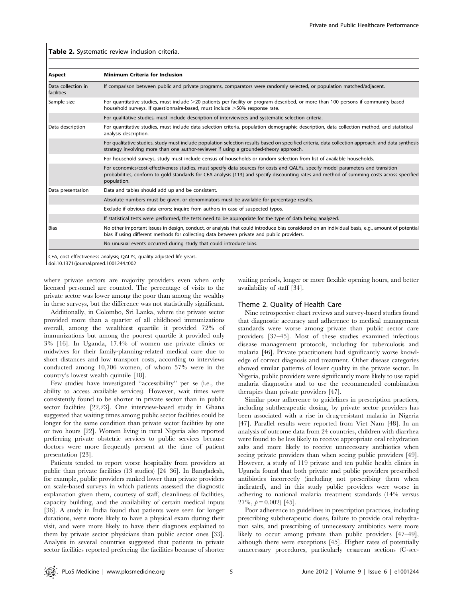#### Table 2. Systematic review inclusion criteria.

| Aspect                           | <b>Minimum Criteria for Inclusion</b>                                                                                                                                                                                                                                                         |
|----------------------------------|-----------------------------------------------------------------------------------------------------------------------------------------------------------------------------------------------------------------------------------------------------------------------------------------------|
| Data collection in<br>facilities | If comparison between public and private programs, comparators were randomly selected, or population matched/adjacent.                                                                                                                                                                        |
| Sample size                      | For quantitative studies, must include >20 patients per facility or program described, or more than 100 persons if community-based<br>household surveys. If questionnaire-based, must include >50% response rate.                                                                             |
|                                  | For qualitative studies, must include description of interviewees and systematic selection criteria.                                                                                                                                                                                          |
| Data description                 | For quantitative studies, must include data selection criteria, population demographic description, data collection method, and statistical<br>analysis description.                                                                                                                          |
|                                  | For qualitative studies, study must include population selection results based on specified criteria, data collection approach, and data synthesis<br>strategy involving more than one author-reviewer if using a grounded-theory approach.                                                   |
|                                  | For household surveys, study must include census of households or random selection from list of available households.                                                                                                                                                                         |
|                                  | For economics/cost-effectiveness studies, must specify data sources for costs and QALYs, specify model parameters and transition<br>probabilities, conform to gold standards for CEA analysis [113] and specify discounting rates and method of summing costs across specified<br>population. |
| Data presentation                | Data and tables should add up and be consistent.                                                                                                                                                                                                                                              |
|                                  | Absolute numbers must be given, or denominators must be available for percentage results.                                                                                                                                                                                                     |
|                                  | Exclude if obvious data errors; inquire from authors in case of suspected typos.                                                                                                                                                                                                              |
|                                  | If statistical tests were performed, the tests need to be appropriate for the type of data being analyzed.                                                                                                                                                                                    |
| <b>Bias</b>                      | No other important issues in design, conduct, or analysis that could introduce bias considered on an individual basis, e.g., amount of potential<br>bias if using different methods for collecting data between private and public providers.                                                 |
|                                  | No unusual events occurred during study that could introduce bias.                                                                                                                                                                                                                            |

CEA, cost-effectiveness analysis; QALYs, quality-adjusted life years. doi:10.1371/journal.pmed.1001244.t002

where private sectors are majority providers even when only licensed personnel are counted. The percentage of visits to the private sector was lower among the poor than among the wealthy in these surveys, but the difference was not statistically significant.

Additionally, in Colombo, Sri Lanka, where the private sector provided more than a quarter of all childhood immunizations overall, among the wealthiest quartile it provided 72% of immunizations but among the poorest quartile it provided only 3% [16]. In Uganda, 17.4% of women use private clinics or midwives for their family-planning-related medical care due to short distances and low transport costs, according to interviews conducted among 10,706 women, of whom 57% were in the country's lowest wealth quintile [18].

Few studies have investigated ''accessibility'' per se (i.e., the ability to access available services). However, wait times were consistently found to be shorter in private sector than in public sector facilities [22,23]. One interview-based study in Ghana suggested that waiting times among public sector facilities could be longer for the same condition than private sector facilities by one or two hours [22]. Women living in rural Nigeria also reported preferring private obstetric services to public services because doctors were more frequently present at the time of patient presentation [23].

Patients tended to report worse hospitality from providers at public than private facilities (13 studies) [24–36]. In Bangladesh, for example, public providers ranked lower than private providers on scale-based surveys in which patients assessed the diagnostic explanation given them, courtesy of staff, cleanliness of facilities, capacity building, and the availability of certain medical inputs [36]. A study in India found that patients were seen for longer durations, were more likely to have a physical exam during their visit, and were more likely to have their diagnosis explained to them by private sector physicians than public sector ones [33]. Analysis in several countries suggested that patients in private sector facilities reported preferring the facilities because of shorter

waiting periods, longer or more flexible opening hours, and better availability of staff [34].

#### Theme 2. Quality of Health Care

Nine retrospective chart reviews and survey-based studies found that diagnostic accuracy and adherence to medical management standards were worse among private than public sector care providers [37–45]. Most of these studies examined infectious disease management protocols, including for tuberculosis and malaria [46]. Private practitioners had significantly worse knowledge of correct diagnosis and treatment. Other disease categories showed similar patterns of lower quality in the private sector. In Nigeria, public providers were significantly more likely to use rapid malaria diagnostics and to use the recommended combination therapies than private providers [47].

Similar poor adherence to guidelines in prescription practices, including subtherapeutic dosing, by private sector providers has been associated with a rise in drug-resistant malaria in Nigeria [47]. Parallel results were reported from Viet Nam [48]. In an analysis of outcome data from 24 countries, children with diarrhea were found to be less likely to receive appropriate oral rehydration salts and more likely to receive unnecessary antibiotics when seeing private providers than when seeing public providers [49]. However, a study of 119 private and ten public health clinics in Uganda found that both private and public providers prescribed antibiotics incorrectly (including not prescribing them when indicated), and in this study public providers were worse in adhering to national malaria treatment standards (14% versus  $27\%, p=0.002$  [45].

Poor adherence to guidelines in prescription practices, including prescribing subtherapeutic doses, failure to provide oral rehydration salts, and prescribing of unnecessary antibiotics were more likely to occur among private than public providers [47–49], although there were exceptions [45]. Higher rates of potentially unnecessary procedures, particularly cesarean sections (C-sec-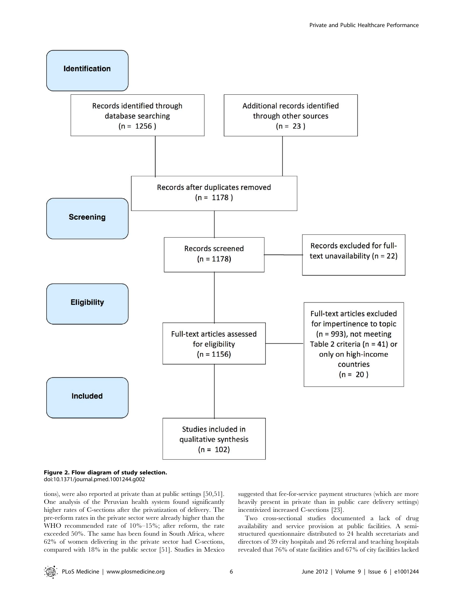

#### Figure 2. Flow diagram of study selection. doi:10.1371/journal.pmed.1001244.g002

tions), were also reported at private than at public settings [50,51]. One analysis of the Peruvian health system found significantly higher rates of C-sections after the privatization of delivery. The pre-reform rates in the private sector were already higher than the WHO recommended rate of  $10\%$ -15%; after reform, the rate exceeded 50%. The same has been found in South Africa, where 62% of women delivering in the private sector had C-sections, compared with 18% in the public sector [51]. Studies in Mexico suggested that fee-for-service payment structures (which are more heavily present in private than in public care delivery settings) incentivized increased C-sections [23].

Two cross-sectional studies documented a lack of drug availability and service provision at public facilities. A semistructured questionnaire distributed to 24 health secretariats and directors of 39 city hospitals and 26 referral and teaching hospitals revealed that 76% of state facilities and 67% of city facilities lacked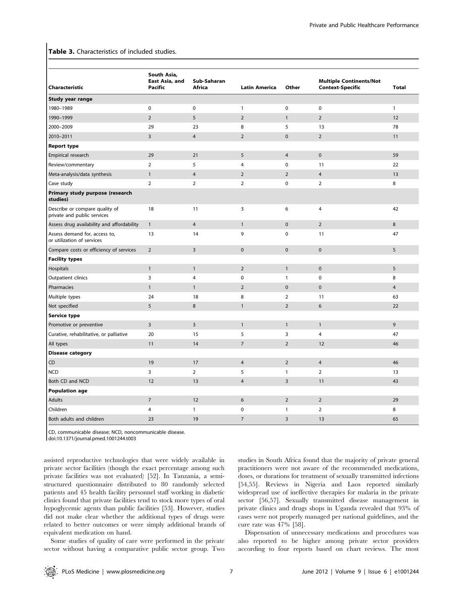#### Table 3. Characteristics of included studies.

| <b>Characteristic</b>                                         | South Asia,<br>East Asia, and<br>Pacific | Sub-Saharan<br>Africa | <b>Latin America</b> | Other          | <b>Multiple Continents/Not</b><br><b>Context-Specific</b> | <b>Total</b>   |  |  |
|---------------------------------------------------------------|------------------------------------------|-----------------------|----------------------|----------------|-----------------------------------------------------------|----------------|--|--|
| Study year range                                              |                                          |                       |                      |                |                                                           |                |  |  |
| 1980-1989                                                     | $\pmb{0}$                                | $\pmb{0}$             | $\mathbf{1}$         | 0              | $\pmb{0}$                                                 | $\mathbf{1}$   |  |  |
| 1990-1999                                                     | $\overline{2}$                           | 5                     | $\overline{2}$       | $\mathbf{1}$   | $\overline{2}$                                            | 12             |  |  |
| 2000-2009                                                     | 29                                       | 23                    | 8                    | 5              | 13                                                        | 78             |  |  |
| 2010-2011                                                     | $\overline{3}$                           | $\overline{4}$        | $\overline{2}$       | $\pmb{0}$      | $\overline{2}$                                            | 11             |  |  |
| <b>Report type</b>                                            |                                          |                       |                      |                |                                                           |                |  |  |
| Empirical research                                            | 29                                       | 21                    | 5                    | $\overline{4}$ | $\pmb{0}$                                                 | 59             |  |  |
| Review/commentary                                             | $\overline{2}$                           | 5                     | 4                    | $\pmb{0}$      | 11                                                        | 22             |  |  |
| Meta-analysis/data synthesis                                  | $\mathbf{1}$                             | $\overline{4}$        | $\overline{2}$       | $\overline{2}$ | $\overline{4}$                                            | 13             |  |  |
| Case study                                                    | $\overline{2}$                           | $\overline{2}$        | $\overline{2}$       | 0              | $\overline{2}$                                            | 8              |  |  |
| Primary study purpose (research<br>studies)                   |                                          |                       |                      |                |                                                           |                |  |  |
| Describe or compare quality of<br>private and public services | 18                                       | 11                    | 3                    | 6              | $\overline{4}$                                            | 42             |  |  |
| Assess drug availability and affordability                    | $\mathbf{1}$                             | $\overline{4}$        | $\mathbf{1}$         | $\pmb{0}$      | $\overline{2}$                                            | 8              |  |  |
| Assess demand for, access to,<br>or utilization of services   | 13                                       | 14                    | 9                    | 0              | 11                                                        | 47             |  |  |
| Compare costs or efficiency of services                       | $\overline{2}$                           | $\overline{3}$        | $\pmb{0}$            | $\pmb{0}$      | $\mathbf 0$                                               | 5              |  |  |
| <b>Facility types</b>                                         |                                          |                       |                      |                |                                                           |                |  |  |
| Hospitals                                                     | $\mathbf{1}$                             | $\mathbf{1}$          | $\overline{2}$       | $\mathbf{1}$   | $\mathbf 0$                                               | 5              |  |  |
| Outpatient clinics                                            | 3                                        | $\overline{4}$        | $\mathbf 0$          | $\mathbf{1}$   | $\mathbf 0$                                               | 8              |  |  |
| Pharmacies                                                    | $\mathbf{1}$                             | $\mathbf{1}$          | $\overline{2}$       | $\mathbf{0}$   | $\mathbf 0$                                               | $\overline{4}$ |  |  |
| Multiple types                                                | 24                                       | 18                    | 8                    | $\overline{2}$ | 11                                                        | 63             |  |  |
| Not specified                                                 | 5                                        | 8                     | $\mathbf{1}$         | $\overline{2}$ | 6                                                         | 22             |  |  |
| <b>Service type</b>                                           |                                          |                       |                      |                |                                                           |                |  |  |
| Promotive or preventive                                       | 3                                        | $\overline{3}$        | $\mathbf{1}$         | $\mathbf{1}$   | $\mathbf{1}$                                              | 9              |  |  |
| Curative, rehabilitative, or palliative                       | 20                                       | 15                    | 5                    | 3              | 4                                                         | 47             |  |  |
| All types                                                     | 11                                       | 14                    | $\overline{7}$       | $\overline{2}$ | 12                                                        | 46             |  |  |
| <b>Disease category</b>                                       |                                          |                       |                      |                |                                                           |                |  |  |
| CD                                                            | 19                                       | 17                    | $\overline{4}$       | $\overline{2}$ | $\overline{4}$                                            | 46             |  |  |
| <b>NCD</b>                                                    | 3                                        | $\overline{2}$        | 5                    | $\mathbf{1}$   | $\overline{2}$                                            | 13             |  |  |
| Both CD and NCD                                               | 12                                       | 13                    | $\overline{4}$       | 3              | 11                                                        | 43             |  |  |
| <b>Population age</b>                                         |                                          |                       |                      |                |                                                           |                |  |  |
| <b>Adults</b>                                                 | $\overline{7}$                           | 12                    | 6                    | $\overline{2}$ | $\overline{2}$                                            | 29             |  |  |
| Children                                                      | 4                                        | $\mathbf{1}$          | $\pmb{0}$            | 1              | $\overline{2}$                                            | 8              |  |  |
| Both adults and children                                      | 23                                       | 19                    | $\overline{7}$       | 3              | 13                                                        | 65             |  |  |
|                                                               |                                          |                       |                      |                |                                                           |                |  |  |

CD, communicable disease; NCD, noncommunicable disease.

doi:10.1371/journal.pmed.1001244.t003

assisted reproductive technologies that were widely available in private sector facilities (though the exact percentage among such private facilities was not evaluated) [52]. In Tanzania, a semistructured questionnaire distributed to 80 randomly selected patients and 45 health facility personnel staff working in diabetic clinics found that private facilities tend to stock more types of oral hypoglycemic agents than public facilities [53]. However, studies did not make clear whether the additional types of drugs were related to better outcomes or were simply additional brands of equivalent medication on hand.

Some studies of quality of care were performed in the private sector without having a comparative public sector group. Two studies in South Africa found that the majority of private general practitioners were not aware of the recommended medications, doses, or durations for treatment of sexually transmitted infections [54,55]. Reviews in Nigeria and Laos reported similarly widespread use of ineffective therapies for malaria in the private sector [56,57]. Sexually transmitted disease management in private clinics and drugs shops in Uganda revealed that 93% of cases were not properly managed per national guidelines, and the cure rate was 47% [58].

Dispensation of unnecessary medications and procedures was also reported to be higher among private sector providers according to four reports based on chart reviews. The most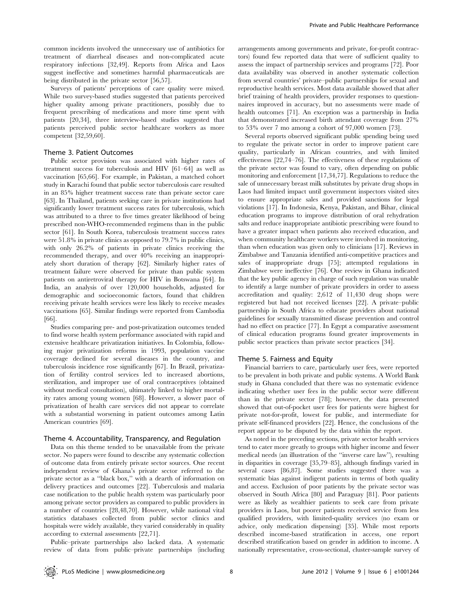common incidents involved the unnecessary use of antibiotics for treatment of diarrheal diseases and non-complicated acute respiratory infections [32,49]. Reports from Africa and Laos suggest ineffective and sometimes harmful pharmaceuticals are being distributed in the private sector [56,57].

Surveys of patients' perceptions of care quality were mixed. While two survey-based studies suggested that patients perceived higher quality among private practitioners, possibly due to frequent prescribing of medications and more time spent with patients [20,34], three interview-based studies suggested that patients perceived public sector healthcare workers as more competent [32,59,60].

#### Theme 3. Patient Outcomes

Public sector provision was associated with higher rates of treatment success for tuberculosis and HIV [61–64] as well as vaccination [65,66]. For example, in Pakistan, a matched cohort study in Karachi found that public sector tuberculosis care resulted in an 85% higher treatment success rate than private sector care [63]. In Thailand, patients seeking care in private institutions had significantly lower treatment success rates for tuberculosis, which was attributed to a three to five times greater likelihood of being prescribed non-WHO-recommended regimens than in the public sector [61]. In South Korea, tuberculosis treatment success rates were 51.8% in private clinics as opposed to 79.7% in public clinics, with only 26.2% of patients in private clinics receiving the recommended therapy, and over 40% receiving an inappropriately short duration of therapy [62]. Similarly higher rates of treatment failure were observed for private than public system patients on antiretroviral therapy for HIV in Botswana [64]. In India, an analysis of over 120,000 households, adjusted for demographic and socioeconomic factors, found that children receiving private health services were less likely to receive measles vaccinations [65]. Similar findings were reported from Cambodia [66].

Studies comparing pre- and post-privatization outcomes tended to find worse health system performance associated with rapid and extensive healthcare privatization initiatives. In Colombia, following major privatization reforms in 1993, population vaccine coverage declined for several diseases in the country, and tuberculosis incidence rose significantly [67]. In Brazil, privatization of fertility control services led to increased abortions, sterilization, and improper use of oral contraceptives (obtained without medical consultation), ultimately linked to higher mortality rates among young women [68]. However, a slower pace of privatization of health care services did not appear to correlate with a substantial worsening in patient outcomes among Latin American countries [69].

#### Theme 4. Accountability, Transparency, and Regulation

Data on this theme tended to be unavailable from the private sector. No papers were found to describe any systematic collection of outcome data from entirely private sector sources. One recent independent review of Ghana's private sector referred to the private sector as a ''black box,'' with a dearth of information on delivery practices and outcomes [22]. Tuberculosis and malaria case notification to the public health system was particularly poor among private sector providers as compared to public providers in a number of countries [28,48,70]. However, while national vital statistics databases collected from public sector clinics and hospitals were widely available, they varied considerably in quality according to external assessments [22,71].

Public–private partnerships also lacked data. A systematic review of data from public–private partnerships (including arrangements among governments and private, for-profit contractors) found few reported data that were of sufficient quality to assess the impact of partnership services and programs [72]. Poor data availability was observed in another systematic collection from several countries' private–public partnerships for sexual and reproductive health services. Most data available showed that after brief training of health providers, provider responses to questionnaires improved in accuracy, but no assessments were made of health outcomes [71]. An exception was a partnership in India that demonstrated increased birth attendant coverage from 27% to 53% over 7 mo among a cohort of 97,000 women [73].

Several reports observed significant public spending being used to regulate the private sector in order to improve patient care quality, particularly in African countries, and with limited effectiveness [22,74–76]. The effectiveness of these regulations of the private sector was found to vary, often depending on public monitoring and enforcement [17,34,77]. Regulations to reduce the sale of unnecessary breast milk substitutes by private drug shops in Laos had limited impact until government inspectors visited sites to ensure appropriate sales and provided sanctions for legal violations [17]. In Indonesia, Kenya, Pakistan, and Bihar, clinical education programs to improve distribution of oral rehydration salts and reduce inappropriate antibiotic prescribing were found to have a greater impact when patients also received education, and when community healthcare workers were involved in monitoring, than when education was given only to clinicians [17]. Reviews in Zimbabwe and Tanzania identified anti-competitive practices and sales of inappropriate drugs [75]; attempted regulations in Zimbabwe were ineffective [76]. One review in Ghana indicated that the key public agency in charge of such regulation was unable to identify a large number of private providers in order to assess accreditation and quality: 2,612 of 11,430 drug shops were registered but had not received licenses [22]. A private–public partnership in South Africa to educate providers about national guidelines for sexually transmitted disease prevention and control had no effect on practice [77]. In Egypt a comparative assessment of clinical education programs found greater improvements in public sector practices than private sector practices [34].

#### Theme 5. Fairness and Equity

Financial barriers to care, particularly user fees, were reported to be prevalent in both private and public systems. A World Bank study in Ghana concluded that there was no systematic evidence indicating whether user fees in the public sector were different than in the private sector [78]; however, the data presented showed that out-of-pocket user fees for patients were highest for private not-for-profit, lowest for public, and intermediate for private self-financed providers [22]. Hence, the conclusions of the report appear to be disputed by the data within the report.

As noted in the preceding sections, private sector health services tend to cater more greatly to groups with higher income and fewer medical needs (an illustration of the ''inverse care law''), resulting in disparities in coverage [35,79–85], although findings varied in several cases [86,87]. Some studies suggested there was a systematic bias against indigent patients in terms of both quality and access. Exclusion of poor patients by the private sector was observed in South Africa [80] and Paraguay [81]. Poor patients were as likely as wealthier patients to seek care from private providers in Laos, but poorer patients received service from less qualified providers, with limited-quality services (no exam or advice, only medication dispensing) [35]. While most reports described income-based stratification in access, one report described stratification based on gender in addition to income. A nationally representative, cross-sectional, cluster-sample survey of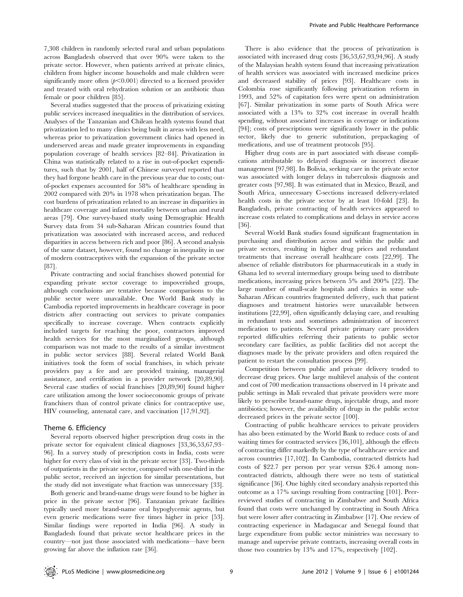7,308 children in randomly selected rural and urban populations across Bangladesh observed that over 90% were taken to the private sector. However, when patients arrived at private clinics, children from higher income households and male children were significantly more often  $(p<0.001)$  directed to a licensed provider and treated with oral rehydration solution or an antibiotic than female or poor children [85].

Several studies suggested that the process of privatizing existing public services increased inequalities in the distribution of services. Analyses of the Tanzanian and Chilean health systems found that privatization led to many clinics being built in areas with less need, whereas prior to privatization government clinics had opened in underserved areas and made greater improvements in expanding population coverage of health services [82–84]. Privatization in China was statistically related to a rise in out-of-pocket expenditures, such that by 2001, half of Chinese surveyed reported that they had forgone health care in the previous year due to costs; outof-pocket expenses accounted for 58% of healthcare spending in 2002 compared with 20% in 1978 when privatization began. The cost burdens of privatization related to an increase in disparities in healthcare coverage and infant mortality between urban and rural areas [79]. One survey-based study using Demographic Health Survey data from 34 sub-Saharan African countries found that privatization was associated with increased access, and reduced disparities in access between rich and poor [86]. A second analysis of the same dataset, however, found no change in inequality in use of modern contraceptives with the expansion of the private sector [87].

Private contracting and social franchises showed potential for expanding private sector coverage to impoverished groups, although conclusions are tentative because comparisons to the public sector were unavailable. One World Bank study in Cambodia reported improvements in healthcare coverage in poor districts after contracting out services to private companies specifically to increase coverage. When contracts explicitly included targets for reaching the poor, contractors improved health services for the most marginalized groups, although comparison was not made to the results of a similar investment in public sector services [88]. Several related World Bank initiatives took the form of social franchises, in which private providers pay a fee and are provided training, managerial assistance, and certification in a provider network [20,89,90]. Several case studies of social franchises [20,89,90] found higher care utilization among the lower socioeconomic groups of private franchisers than of control private clinics for contraceptive use, HIV counseling, antenatal care, and vaccination [17,91,92].

#### Theme 6. Efficiency

Several reports observed higher prescription drug costs in the private sector for equivalent clinical diagnoses [33,36,53,67,93– 96]. In a survey study of prescription costs in India, costs were higher for every class of visit in the private sector [33]. Two-thirds of outpatients in the private sector, compared with one-third in the public sector, received an injection for similar presentations, but the study did not investigate what fraction was unnecessary [33].

Both generic and brand-name drugs were found to be higher in price in the private sector [96]. Tanzanian private facilities typically used more brand-name oral hypoglycemic agents, but even generic medications were five times higher in price [53]. Similar findings were reported in India [96]. A study in Bangladesh found that private sector healthcare prices in the country—not just those associated with medications—have been growing far above the inflation rate [36].

There is also evidence that the process of privatization is associated with increased drug costs [36,53,67,93,94,96]. A study of the Malaysian health system found that increasing privatization of health services was associated with increased medicine prices and decreased stability of prices [93]. Healthcare costs in Colombia rose significantly following privatization reform in 1993, and 52% of capitation fees were spent on administration [67]. Similar privatization in some parts of South Africa were associated with a 13% to 32% cost increase in overall health spending, without associated increases in coverage or indications [94]; costs of prescriptions were significantly lower in the public sector, likely due to generic substitution, prepackaging of medications, and use of treatment protocols [95].

Higher drug costs are in part associated with disease complications attributable to delayed diagnosis or incorrect disease management [97,98]. In Bolivia, seeking care in the private sector was associated with longer delays in tuberculosis diagnosis and greater costs [97,98]. It was estimated that in Mexico, Brazil, and South Africa, unnecessary C-sections increased delivery-related health costs in the private sector by at least 10-fold [23]. In Bangladesh, private contracting of health services appeared to increase costs related to complications and delays in service access [36].

Several World Bank studies found significant fragmentation in purchasing and distribution across and within the public and private sectors, resulting in higher drug prices and redundant treatments that increase overall healthcare costs [22,99]. The absence of reliable distributors for pharmaceuticals in a study in Ghana led to several intermediary groups being used to distribute medications, increasing prices between 5% and 200% [22]. The large number of small-scale hospitals and clinics in some sub-Saharan African countries fragmented delivery, such that patient diagnoses and treatment histories were unavailable between institutions [22,99], often significantly delaying care, and resulting in redundant tests and sometimes administration of incorrect medication to patients. Several private primary care providers reported difficulties referring their patients to public sector secondary care facilities, as public facilities did not accept the diagnoses made by the private providers and often required the patient to restart the consultation process [99].

Competition between public and private delivery tended to decrease drug prices. One large multilevel analysis of the content and cost of 700 medication transactions observed in 14 private and public settings in Mali revealed that private providers were more likely to prescribe brand-name drugs, injectable drugs, and more antibiotics; however, the availability of drugs in the public sector decreased prices in the private sector [100].

Contracting of public healthcare services to private providers has also been estimated by the World Bank to reduce costs of and waiting times for contracted services [36,101], although the effects of contracting differ markedly by the type of healthcare service and across countries [17,102]. In Cambodia, contracted districts had costs of \$22.7 per person per year versus \$26.4 among noncontracted districts, although there were no tests of statistical significance [36]. One highly cited secondary analysis reported this outcome as a 17% savings resulting from contracting [101]. Peerreviewed studies of contracting in Zimbabwe and South Africa found that costs were unchanged by contracting in South Africa but were lower after contracting in Zimbabwe [17]. One review of contracting experience in Madagascar and Senegal found that large expenditure from public sector ministries was necessary to manage and supervise private contracts, increasing overall costs in those two countries by 13% and 17%, respectively [102].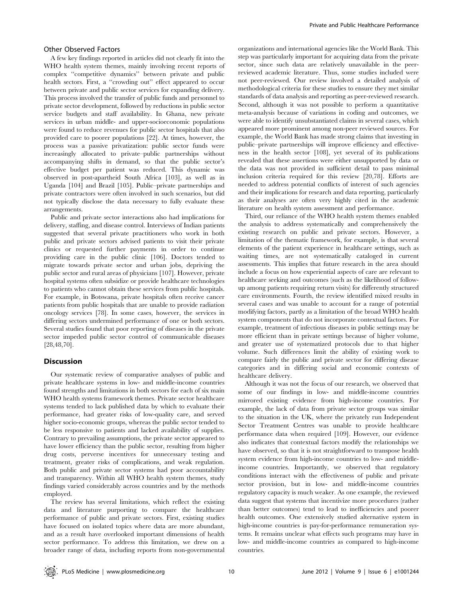#### Other Observed Factors

A few key findings reported in articles did not clearly fit into the WHO health system themes, mainly involving recent reports of complex ''competitive dynamics'' between private and public health sectors. First, a "crowding out" effect appeared to occur between private and public sector services for expanding delivery. This process involved the transfer of public funds and personnel to private sector development, followed by reductions in public sector service budgets and staff availability. In Ghana, new private services in urban middle- and upper-socioeconomic populations were found to reduce revenues for public sector hospitals that also provided care to poorer populations [22]. At times, however, the process was a passive privatization: public sector funds were increasingly allocated to private–public partnerships without accompanying shifts in demand, so that the public sector's effective budget per patient was reduced. This dynamic was observed in post-apartheid South Africa [103], as well as in Uganda [104] and Brazil [105]. Public–private partnerships and private contractors were often involved in such scenarios, but did not typically disclose the data necessary to fully evaluate these arrangements.

Public and private sector interactions also had implications for delivery, staffing, and disease control. Interviews of Indian patients suggested that several private practitioners who work in both public and private sectors advised patients to visit their private clinics or requested further payments in order to continue providing care in the public clinic [106]. Doctors tended to migrate towards private sector and urban jobs, depriving the public sector and rural areas of physicians [107]. However, private hospital systems often subsidize or provide healthcare technologies to patients who cannot obtain these services from public hospitals. For example, in Botswana, private hospitals often receive cancer patients from public hospitals that are unable to provide radiation oncology services [78]. In some cases, however, the services in differing sectors undermined performance of one or both sectors. Several studies found that poor reporting of diseases in the private sector impeded public sector control of communicable diseases [28,48,70].

#### Discussion

Our systematic review of comparative analyses of public and private healthcare systems in low- and middle-income countries found strengths and limitations in both sectors for each of six main WHO health systems framework themes. Private sector healthcare systems tended to lack published data by which to evaluate their performance, had greater risks of low-quality care, and served higher socio-economic groups, whereas the public sector tended to be less responsive to patients and lacked availability of supplies. Contrary to prevailing assumptions, the private sector appeared to have lower efficiency than the public sector, resulting from higher drug costs, perverse incentives for unnecessary testing and treatment, greater risks of complications, and weak regulation. Both public and private sector systems had poor accountability and transparency. Within all WHO health system themes, study findings varied considerably across countries and by the methods employed.

The review has several limitations, which reflect the existing data and literature purporting to compare the healthcare performance of public and private sectors. First, existing studies have focused on isolated topics where data are more abundant, and as a result have overlooked important dimensions of health sector performance. To address this limitation, we drew on a broader range of data, including reports from non-governmental organizations and international agencies like the World Bank. This step was particularly important for acquiring data from the private sector, since such data are relatively unavailable in the peerreviewed academic literature. Thus, some studies included were not peer-reviewed. Our review involved a detailed analysis of methodological criteria for these studies to ensure they met similar standards of data analysis and reporting as peer-reviewed research. Second, although it was not possible to perform a quantitative meta-analysis because of variations in coding and outcomes, we were able to identify unsubstantiated claims in several cases, which appeared more prominent among non-peer reviewed sources. For example, the World Bank has made strong claims that investing in public–private partnerships will improve efficiency and effectiveness in the health sector [108], yet several of its publications revealed that these assertions were either unsupported by data or the data was not provided in sufficient detail to pass minimal inclusion criteria required for this review [20,78]. Efforts are needed to address potential conflicts of interest of such agencies and their implications for research and data reporting, particularly as their analyses are often very highly cited in the academic literature on health system assessment and performance.

Third, our reliance of the WHO health system themes enabled the analysis to address systematically and comprehensively the existing research on public and private sectors. However, a limitation of the thematic framework, for example, is that several elements of the patient experience in healthcare settings, such as waiting times, are not systematically cataloged in current assessments. This implies that future research in the area should include a focus on how experiential aspects of care are relevant to healthcare seeking and outcomes (such as the likelihood of followup among patients requiring return visits) for differently structured care environments. Fourth, the review identified mixed results in several cases and was unable to account for a range of potential modifying factors, partly as a limitation of the broad WHO health system components that do not incorporate contextual factors. For example, treatment of infectious diseases in public settings may be more efficient than in private settings because of higher volume, and greater use of systematized protocols due to that higher volume. Such differences limit the ability of existing work to compare fairly the public and private sector for differing disease categories and in differing social and economic contexts of healthcare delivery.

Although it was not the focus of our research, we observed that some of our findings in low- and middle-income countries mirrored existing evidence from high-income countries. For example, the lack of data from private sector groups was similar to the situation in the UK, where the privately run Independent Sector Treatment Centres was unable to provide healthcare performance data when required [109]. However, our evidence also indicates that contextual factors modify the relationships we have observed, so that it is not straightforward to transpose health system evidence from high-income countries to low- and middleincome countries. Importantly, we observed that regulatory conditions interact with the effectiveness of public and private sector provision, but in low- and middle-income countries regulatory capacity is much weaker. As one example, the reviewed data suggest that systems that incentivize more procedures (rather than better outcomes) tend to lead to inefficiencies and poorer health outcomes. One extensively studied alternative system in high-income countries is pay-for-performance remuneration systems. It remains unclear what effects such programs may have in low- and middle-income countries as compared to high-income countries.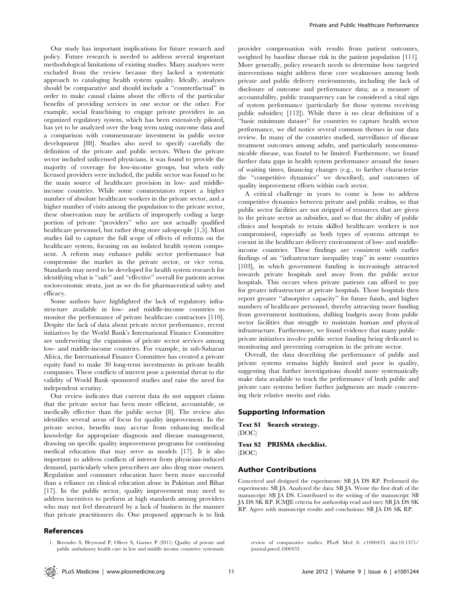Our study has important implications for future research and policy. Future research is needed to address several important methodological limitations of existing studies. Many analyses were excluded from the review because they lacked a systematic approach to cataloging health system quality. Ideally, analyses should be comparative and should include a ''counterfactual'' in order to make causal claims about the effects of the particular benefits of providing services in one sector or the other. For example, social franchising to engage private providers in an organized regulatory system, which has been extensively piloted, has yet to be analyzed over the long term using outcome data and a comparison with commensurate investment in public sector development [88]. Studies also need to specify carefully the definition of the private and public sectors. When the private sector included unlicensed physicians, it was found to provide the majority of coverage for low-income groups, but when only licensed providers were included, the public sector was found to be the main source of healthcare provision in low- and middleincome countries. While some commentators report a higher number of absolute healthcare workers in the private sector, and a higher number of visits among the population to the private sector, these observation may be artifacts of improperly coding a large portion of private ''providers'' who are not actually qualified healthcare personnel, but rather drug store salespeople [1,5]. Most studies fail to capture the full scope of effects of reforms on the healthcare system, focusing on an isolated health system component. A reform may enhance public sector performance but compromise the market in the private sector, or vice versa. Standards may need to be developed for health system research for identifying what is ''safe'' and ''effective'' overall for patients across socioeconomic strata, just as we do for pharmaceutical safety and efficacy.

Some authors have highlighted the lack of regulatory infrastructure available in low- and middle-income countries to monitor the performance of private healthcare contractors [110]. Despite the lack of data about private sector performance, recent initiatives by the World Bank's International Finance Committee are underwriting the expansion of private sector services among low- and middle-income countries. For example, in sub-Saharan Africa, the International Finance Committee has created a private equity fund to make 30 long-term investments in private health companies. These conflicts of interest pose a potential threat to the validity of World Bank–sponsored studies and raise the need for independent scrutiny.

Our review indicates that current data do not support claims that the private sector has been more efficient, accountable, or medically effective than the public sector [8]. The review also identifies several areas of focus for quality improvement. In the private sector, benefits may accrue from enhancing medical knowledge for appropriate diagnosis and disease management, drawing on specific quality improvement programs for continuing medical education that may serve as models [17]. It is also important to address conflicts of interest from physician-induced demand, particularly when prescribers are also drug store owners. Regulation and consumer education have been more successful than a reliance on clinical education alone in Pakistan and Bihar [17]. In the public sector, quality improvement may need to address incentives to perform at high standards among providers who may not feel threatened by a lack of business in the manner that private practitioners do. One proposed approach is to link

#### References

provider compensation with results from patient outcomes, weighted by baseline disease risk in the patient population [111]. More generally, policy research needs to determine how targeted interventions might address these core weaknesses among both private and public delivery environments, including the lack of disclosure of outcome and performance data; as a measure of accountability, public transparency can be considered a vital sign of system performance (particularly for those systems receiving public subsidies; [112]). While there is no clear definition of a ''basic minimum dataset'' for countries to capture health sector performance, we did notice several common themes in our data review. In many of the countries studied, surveillance of disease treatment outcomes among adults, and particularly noncommunicable disease, was found to be limited. Furthermore, we found further data gaps in health system performance around the issues of waiting times, financing changes (e.g., to further characterize the ''competitive dynamics'' we described), and outcomes of quality improvement efforts within each sector.

A critical challenge in years to come is how to address competitive dynamics between private and public realms, so that public sector facilities are not stripped of resources that are given to the private sector as subsidies, and so that the ability of public clinics and hospitals to retain skilled healthcare workers is not compromised, especially as both types of systems attempt to coexist in the healthcare delivery environment of low- and middleincome countries. These findings are consistent with earlier findings of an ''infrastructure inequality trap'' in some countries [103], in which government funding is increasingly attracted towards private hospitals and away from the public sector hospitals. This occurs when private patients can afford to pay for greater infrastructure at private hospitals. Those hospitals then report greater ''absorptive capacity'' for future funds, and higher numbers of healthcare personnel, thereby attracting more funding from government institutions, shifting budgets away from public sector facilities that struggle to maintain human and physical infrastructure. Furthermore, we found evidence that many public– private initiatives involve public sector funding being dedicated to monitoring and preventing corruption in the private sector.

Overall, the data describing the performance of public and private systems remains highly limited and poor in quality, suggesting that further investigations should more systematically make data available to track the performance of both public and private care systems before further judgments are made concerning their relative merits and risks.

#### Supporting Information

Text S1 Search strategy. (DOC)

Text S2 PRISMA checklist. (DOC)

#### Author Contributions

Conceived and designed the experiments: SB JA DS RP. Performed the experiments: SB JA. Analyzed the data: SB JA. Wrote the first draft of the manuscript: SB JA DS. Contributed to the writing of the manuscript: SB JA DS SK RP. ICMJE criteria for authorship read and met: SB JA DS SK RP. Agree with manuscript results and conclusions: SB JA DS SK RP.

1. Berendes S, Heywood P, Oliver S, Garner P (2011) Quality of private and public ambulatory health care in low and middle income countries: systematic

review of comparative studies. PLoS Med 8: e1000433. doi:10.1371/ journal.pmed.1000433.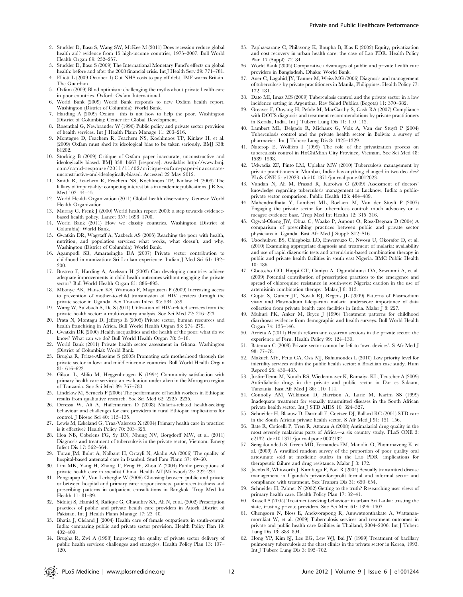- 2. Stuckler D, Basu S, Wang SW, McKee M (2011) Does recession reduce global health aid? evidence from 15 high-income countries, 1975–2007. Bull World Health Organ 89: 252–257.
- 3. Stuckler D, Basu S (2009) The International Monetary Fund's effects on global health: before and after the 2008 financial crisis. Int J Health Serv 39: 771–781.
- 4. Elliott L (2009 October 1) Cut NHS costs to pay off debt, IMF warns Britain. The Guardian.
- 5. Oxfam (2009) Blind optimism: challenging the myths about private health care in poor countries. Oxford: Oxfam International.
- 6. World Bank (2009) World Bank responds to new Oxfam health report. Washington (District of Columbia): World Bank.
- 7. Harding A (2009) Oxfam—this is not how to help the poor. Washington (District of Columbia): Center for Global Development.
- 8. Rosenthal G, Newbrander W (1996) Public policy and private sector provision of health services. Int J Health Plann Manage 11: 203–216.
- 9. Montague D, Feachem R, Feachem NS, Koehlmoos TP, Kinlaw H, et al. (2009) Oxfam must shed its ideological bias to be taken seriously. BMJ 338: b1202.
- 10. Stocking B (2009) Critique of Oxfam paper inaccurate, unconstructive and ideologically biased. BMJ 338: b667 [response]. Available: http://www.bmj. com/rapid-response/2011/11/02/critique-oxfam-paper-inaccurateunconstructive-and-ideologically-biased. Accessed 22 May 2012.
- 11. Smith R, Feachem R, Feachem NS, Koehlmoos TP, Kinlaw H (2009) The fallacy of impartiality: competing interest bias in academic publications. J R Soc Med 102: 44–45.
- 12. World Health Organization (2011) Global health observatory. Geneva: World Health Organization.
- 13. Murray C, Frenk J (2000) World health report 2000: a step towards evidencebased health policy. Lancet 357: 1698–1700.
- 14. World Bank (2011) How we classify countries. Washington (District of Columbia): World Bank.
- 15. Gwatkin DR, Wagstaff A, Yazbeck AS (2005) Reaching the poor with health, nutrition, and population services: what works, what doesn't, and why. Washington (District of Columbia): World Bank.
- 16. Agampodi SB, Amarasinghe DA (2007) Private sector contribution to childhood immunization: Sri Lankan experience. Indian J Med Sci 61: 192– 200.
- 17. Bustreo F, Harding A, Axelsson H (2003) Can developing countries achieve adequate improvements in child health outcomes without engaging the private sector? Bull World Health Organ 81: 886–895.
- 18. Mbonye AK, Hansen KS, Wamono F, Magnussen P (2009) Increasing access to prevention of mother-to-child transmission of HIV services through the private sector in Uganda. Sex Transm Infect 85: 534–539.
- 19. Wang W, Sulzbach S, De S (2011) Utilization of HIV-related services from the private health sector: a multi-country analysis. Soc Sci Med 72: 216–223.
- 20. Prata N, Montagu D, Jefferys E (2005) Private sector, human resources and health franchising in Africa. Bull World Health Organ 83: 274–279.
- 21. Gwatkin DR (2000) Health inequalities and the health of the poor: what do we know? What can we do? Bull World Health Organ 78: 3–18.
- 22. World Bank (2011) Private health sector assessment in Ghana. Washington (District of Columbia): World Bank.
- 23. Brugha R, Pritze-Aliassime S (2003) Promoting safe motherhood through the private sector in low- and middle-income countries. Bull World Health Organ 81: 616–623.
- 24. Gilson L, Alilio M, Heggenhougen K (1994) Community satisfaction with primary health care services: an evaluation undertaken in the Morogoro region of Tanzania. Soc Sci Med 39: 767–780.
- 25. Lindelow M, Serneels P (2006) The performance of health workers in Ethiopia: results from qualitative research. Soc Sci Med 62: 2225–2235.
- 26. Deressa W, Ali A, Hailemariam D (2008) Malaria-related health-seeking behaviour and challenges for care providers in rural Ethiopia: implications for control. J Biosoc Sci 40: 115–135.
- 27. Lewis M, Eskeland G, Traa-Valerezo X (2004) Primary health care in practice: is it effective? Health Policy 70: 303–325.
- 28. Hoa NB, Cobelens FG, Sy DN, Nhung NV, Borgdorff MW, et al. (2011) Diagnosis and treatment of tuberculosis in the private sector, Vietnam. Emerg Infect Dis 17: 562–564.
- 29. Turan JM, Bulut A, Nalbant H, Ortayli N, Akalin AA (2006) The quality of hospital-based antenatal care in Istanbul. Stud Fam Plann 37: 49–60.
- 30. Lim MK, Yang H, Zhang T, Feng W, Zhou Z (2004) Public perceptions of private health care in socialist China. Health Aff (Millwood) 23: 222–234.
- 31. Pongsupap Y, Van Lerberghe W (2006) Choosing between public and private or between hospital and primary care: responsiveness, patient-centredness and prescribing patterns in outpatient consultations in Bangkok. Trop Med Int Health 11: 81–89.
- 32. Siddiqi S, Hamid S, Rafique G, Chaudhry SA, Ali N, et al. (2002) Prescription practices of public and private health care providers in Attock District of Pakistan. Int J Health Plann Manage 17: 23–40.
- 33. Bhatia J, Cleland J (2004) Health care of female outpatients in south-central India: comparing public and private sector provision. Health Policy Plan 19: 402–409.
- 34. Brugha R, Zwi A (1998) Improving the quality of private sector delivery of public health services: challenges and strategies. Health Policy Plan 13: 107– 120.
- 35. Paphassarang C, Philavong K, Boupha B, Blas E (2002) Equity, privatization and cost recovery in urban health care: the case of Lao PDR. Health Policy Plan 17 (Suppl): 72–84.
- 36. World Bank (2005) Comparative advantages of public and private health care providers in Bangladesh. Dhaka: World Bank.
- 37. Auer C, Lagahid JY, Tanner M, Weiss MG (2006) Diagnosis and management of tuberculosis by private practitioners in Manila, Philippines. Health Policy 77: 172–181.
- 38. Dato MI, Imaz MS (2009) Tuberculosis control and the private sector in a low incidence setting in Argentina. Rev Salud Publica (Bogota) 11: 370–382.
- 39. Greaves F, Ouyang H, Pefole M, MacCarthy S, Cash RA (2007) Compliance with DOTS diagnosis and treatment recommendations by private practitioners in Kerala, India. Int J Tuberc Lung Dis 11: 110–112.
- 40. Lambert ML, Delgado R, Michaux G, Volz A, Van der Stuyft P (2004) Tuberculosis control and the private health sector in Bolivia: a survey of pharmacies. Int J Tuberc Lung Dis 8: 1325–1329.
- 41. Naterop E, Wolffers I (1999) The role of the privatization process on tuberculosis control in HoChiMinh City Province, Vietnam. Soc Sci Med 48: 1589–1598.
- 42. Udwadia ZF, Pinto LM, Uplekar MW (2010) Tuberculosis management by private practitioners in Mumbai, India: has anything changed in two decades? PLoS ONE 5: e12023. doi:10.1371/journal.pone.0012023.
- 43. Vandan N, Ali M, Prasad R, Kuroiwa C (2009) Assessment of doctors' knowledge regarding tuberculosis management in Lucknow, India: a publicprivate sector comparison. Public Health 123: 484–489.
- 44. Mahendradhata Y, Lambert ML, Boelaert M, Van der Stuyft P (2007) Engaging the private sector for tuberculosis control: much advocacy on a meagre evidence base. Trop Med Int Health 12: 315–316.
- 45. Ogwal-Okeng JW, Obua C, Waako P, Aupont O, Ross-Degnan D (2004) A comparison of prescribing practices between public and private sector physicians in Uganda. East Afr Med J Suppl: S12–S16.
- 46. Uzochukwu BS, Chiegboka LO, Enwereuzo C, Nwosu U, Okorafor D, et al. (2010) Examining appropriate diagnosis and treatment of malaria: availability and use of rapid diagnostic tests and artemisinin-based combination therapy in public and private health facilities in south east Nigeria. BMC Public Health 10: 486.
- 47. Gbotosho GO, Happi CT, Ganiyu A, Ogundahunsi OA, Sowunmi A, et al. (2009) Potential contribution of prescription practices to the emergence and spread of chloroquine resistance in south-west Nigeria: caution in the use of artemisinin combination therapy. Malar J 8: 313.
- 48. Gupta S, Gunter JT, Novak RJ, Regens JL (2009) Patterns of Plasmodium vivax and Plasmodium falciparum malaria underscore importance of data collection from private health care facilities in India. Malar J 8: 227
- 49. Muhuri PK, Anker M, Bryce J (1996) Treatment patterns for childhood diarrhoea: evidence from demographic and health surveys. Bull World Health Organ 74: 135–146.
- 50. Arrieta A (2011) Health reform and cesarean sections in the private sector: the experience of Peru. Health Policy 99: 124–130.
- 51. Bateman C (2008) Private sector cannot be left to 'own devices'. S Afr Med J 98: 77–78.
- 52. Makuch MY, Petta CA, Osis MJ, Bahamondes L (2010) Low priority level for infertility services within the public health sector: a Brazilian case study. Hum Reprod 25: 430–435.
- 53. Justin-Temu M, Nondo RS, Wiedenmayer K, Ramaiya KL, Teuscher A (2009) Anti-diabetic drugs in the private and public sector in Dar es Salaam, Tanzania. East Afr Med J 86: 110–114.
- 54. Connolly AM, Wilkinson D, Harrison A, Lurie M, Karim SS (1999) Inadequate treatment for sexually transmitted diseases in the South African private health sector. Int J STD AIDS 10: 324–327.
- 55. Schneider H, Blaauw D, Dartnall E, Coetzee DJ, Ballard RC (2001) STD care in the South African private health sector. S Afr Med J 91: 151–156.
- 56. Bate R, Coticelli P, Tren R, Attaran A (2008) Antimalarial drug quality in the most severely malarious parts of Africa—a six country study. PLoS ONE 3: e2132. doi:10.1371/journal.pone.0002132.
- 57. Sengaloundeth S, Green MD, Fernandez FM, Manolin O, Phommavong K, et al. (2009) A stratified random survey of the proportion of poor quality oral artesunate sold at medicine outlets in the Lao PDR—implications for therapeutic failure and drug resistance. Malar J 8: 172.
- 58. Jacobs B, Whitworth J, Kambugu F, Pool R (2004) Sexually transmitted disease management in Uganda's private-for-profit formal and informal sector and compliance with treatment. Sex Transm Dis 31: 650–654.
- 59. Schneider H, Palmer N (2002) Getting to the truth? Researching user views of primary health care. Health Policy Plan 17: 32–41.
- 60. Russell S (2005) Treatment-seeking behaviour in urban Sri Lanka: trusting the state, trusting private providers. Soc Sci Med 61: 1396–1407.
- 61. Chengsorn N, Bloss E, Anekvorapong R, Anuwatnonthakate A, Wattanaamornkiat W, et al. (2009) Tuberculosis services and treatment outcomes in private and public health care facilities in Thailand, 2004–2006. Int J Tuberc Lung Dis 13: 888–894.
- 62. Hong YP, Kim SJ, Lee EG, Lew WJ, Bai JY (1999) Treatment of bacillary pulmonary tuberculosis at the chest clinics in the private sector in Korea, 1993. Int J Tuberc Lung Dis 3: 695–702.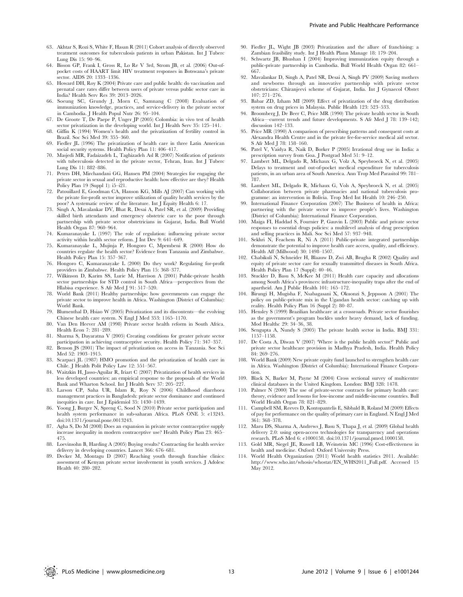- 63. Akhtar S, Rozi S, White F, Hasan R (2011) Cohort analysis of directly observed treatment outcomes for tuberculosis patients in urban Pakistan. Int J Tuberc Lung Dis 15: 90–96.
- 64. Bisson GP, Frank I, Gross R, Lo Re V 3rd, Strom JB, et al. (2006) Out-ofpocket costs of HAART limit HIV treatment responses in Botswana's private .<br>sector. AIDS 20: 1333–1336
- 65. Howard DH, Roy K (2004) Private care and public health: do vaccination and prenatal care rates differ between users of private versus public sector care in India? Health Serv Res 39: 2013–2026.
- 66. Soeung SC, Grundy J, Morn C, Samnang C (2008) Evaluation of immunization knowledge, practices, and service-delivery in the private sector in Cambodia. J Health Popul Nutr 26: 95–104.
- 67. De Groote T, De Paepe P, Unger JP (2005) Colombia: in vivo test of health sector privatization in the developing world. Int J Health Serv 35: 125–141.
- 68. Giffin K (1994) Women's health and the privatization of fertility control in Brazil. Soc Sci Med 39: 355–360.
- 69. Fiedler JL (1996) The privatization of health care in three Latin American social security systems. Health Policy Plan 11: 406–417.
- 70. Masjedi MR, Fadaizadeh L, Taghizadeh Asl R (2007) Notification of patients with tuberculosis detected in the private sector, Tehran, Iran. Int J Tuberc Lung Dis 11: 882–886.
- 71. Peters DH, Mirchandani GG, Hansen PM (2004) Strategies for engaging the private sector in sexual and reproductive health: how effective are they? Health Policy Plan 19 (Suppl 1): i5–i21.
- 72. Patouillard E, Goodman CA, Hanson KG, Mills AJ (2007) Can working with the private for-profit sector improve utilization of quality health services by the poor? A systematic review of the literature. Int J Equity Health 6: 17.
- 73. Singh A, Mavalankar DV, Bhat R, Desai A, Patel SR, et al. (2009) Providing skilled birth attendants and emergency obstetric care to the poor through partnership with private sector obstetricians in Gujarat, India. Bull World Health Organ 87: 960–964.
- 74. Kumaranayake L (1997) The role of regulation: influencing private sector activity within health sector reform. J Int Dev 9: 641–649.
- 75. Kumaranayake L, Mujinja P, Hongoro C, Mpembeni R (2000) How do countries regulate the health sector? Evidence from Tanzania and Zimbabwe. Health Policy Plan 15: 357–367.
- 76. Hongoro C, Kumaranayake L (2000) Do they work? Regulating for-profit providers in Zimbabwe. Health Policy Plan 15: 368–377.
- 77. Wilkinson D, Karim SS, Lurie M, Harrison A (2001) Public-private health sector partnerships for STD control in South Africa—perspectives from the Hlabisa experience. S Afr Med J 91: 517–520.
- 78. World Bank (2011) Healthy partnerships: how governments can engage the private sector to improve health in Africa. Washington (District of Columbia): World Bank.
- 79. Blumenthal D, Hsiao W (2005) Privatization and its discontents—the evolving Chinese health care system. N Engl J Med 353: 1165–1170.
- 80. Van Den Heever AM (1998) Private sector health reform in South Africa. Health Econ 7: 281–289.
- 81. Sharma S, Dayaratna V (2005) Creating conditions for greater private sector participation in achieving contraceptive security. Health Policy 71: 347–357.
- Benson JS (2001) The impact of privatization on access in Tanzania. Soc Sci Med 52: 1903–1915.
- 83. Scarpaci JL (1987) HMO promotion and the privatization of health care in Chile. J Health Polit Policy Law 12: 551–567.
- 84. Waitzkin H, Jasso-Aguilar R, Iriart C (2007) Privatization of health services in less developed countries: an empirical response to the proposals of the World Bank and Wharton School. Int J Health Serv 37: 205–227.
- 85. Larson CP, Saha UR, Islam R, Roy N (2006) Childhood diarrhoea management practices in Bangladesh: private sector dominance and continued inequities in care. Int J Epidemiol 35: 1430–1439.
- 86. Yoong J, Burger N, Spreng C, Sood N (2010) Private sector participation and health system performance in sub-saharan Africa. PLoS ONE 5: e13243. doi:10.1371/journal.pone.0013243.
- 87. Agha S, Do M (2008) Does an expansion in private sector contraceptive supply increase inequality in modern contraceptive use? Health Policy Plan 23: 465– 475.
- 88. Loevinsohn B, Harding A (2005) Buying results? Contracting for health service delivery in developing countries. Lancet 366: 676–681.
- 89. Decker M, Montagu D (2007) Reaching youth through franchise clinics: assessment of Kenyan private sector involvement in youth services. J Adolesc Health 40: 280–282.
- 90. Fiedler JL, Wight JB (2003) Privatization and the allure of franchising: a Zambian feasibility study. Int J Health Plann Manage 18: 179–204.
- 91. Schwartz JB, Bhushan I (2004) Improving immunization equity through a public-private partnership in Cambodia. Bull World Health Organ 82: 661– 667.
- 92. Mavalankar D, Singh A, Patel SR, Desai A, Singh PV (2009) Saving mothers and newborns through an innovative partnership with private sector obstetricians: Chiranjeevi scheme of Gujarat, India. Int J Gynaecol Obstet 107: 271–276.
- 93. Babar ZD, Izham MI (2009) Effect of privatization of the drug distribution system on drug prices in Malaysia. Public Health 123: 523–533.
- 94. Broomberg J, De Beer C, Price MR (1990) The private health sector in South Africa—current trends and future developments. S Afr Med J 78: 139–142; discussion 142–133.
- 95. Price MR (1990) A comparison of prescribing patterns and consequent costs at Alexandra Health Centre and in the private fee-for-service medical aid sector. S Afr Med J 78: 158–160.
- 96. Patel V, Vaidya R, Naik D, Borker P (2005) Irrational drug use in India: a prescription survey from Goa. J Postgrad Med 51: 9–12.
- 97. Lambert ML, Delgado R, Michaux G, Volz A, Speybroeck N, et al. (2005) Delays to treatment and out-of-pocket medical expenditure for tuberculosis patients, in an urban area of South America. Ann Trop Med Parasitol 99: 781– 787.
- 98. Lambert ML, Delgado R, Michaux G, Vols A, Speybroeck N, et al. (2005) Collaboration between private pharmacies and national tuberculosis programme: an intervention in Bolivia. Trop Med Int Health 10: 246–250.
- 99. International Finance Corporation (2007) The Business of health in Africa: partnering with the private sector to improve people's lives. Washington (District of Columbia): International Finance Corporation.
- 100. Maiga FI, Haddad S, Fournier P, Gauvin L (2003) Public and private sector responses to essential drugs policies: a multilevel analysis of drug prescription and selling practices in Mali. Soc Sci Med 57: 937–948.
- 101. Sekhri N, Feachem R, Ni A (2011) Public-private integrated partnerships demonstrate the potential to improve health care access, quality, and efficiency. Health Aff (Millwood) 30: 1498–1507.
- 102. Chabikuli N, Schneider H, Blaauw D, Zwi AB, Brugha R (2002) Quality and equity of private sector care for sexually transmitted diseases in South Africa. Health Policy Plan 17 (Suppl): 40–46.
- 103. Stuckler D, Basu S, McKee M (2011) Health care capacity and allocations among South Africa's provinces: infrastructure-inequality traps after the end of apartheid. Am J Public Health 101: 165–172.
- 104. Birungi H, Mugisha F, Nsabagasani X, Okuonzi S, Jeppsson A (2001) The policy on public-private mix in the Ugandan health sector: catching up with reality. Health Policy Plan 16 (Suppl 2): 80–87.
- 105. Hensley S (1999) Brazilian healthcare at a crossroads. Private sector flourishes as the government's program buckles under heavy demand, lack of funding. Mod Healthc 29: 34–36, 38.
- 106. Sengupta A, Nundy S (2005) The private health sector in India. BMJ 331: 1157–1158.
- 107. De Costa A, Diwan V (2007) 'Where is the public health sector?' Public and private sector healthcare provision in Madhya Pradesh, India. Health Policy 84: 269–276.
- 108. World Bank (2009) New private equity fund launched to strengthen health care in Africa. Washington (District of Columbia): International Finance Corporation.
- 109. Black N, Barker M, Payne M (2004) Cross sectional survey of multicentre clinical databases in the United Kingdom. London: BMJ 328: 1478.
- 110. Palmer N (2000) The use of private-sector contracts for primary health care: theory, evidence and lessons for low-income and middle-income countries. Bull World Health Organ 78: 821–829.
- 111. Campbell SM, Reeves D, Kontopantelis E, Sibbald B, Roland M (2009) Effects of pay for performance on the quality of primary care in England. N Engl J Med 361: 368–378.
- 112. Maru DS, Sharma A, Andrews J, Basu S, Thapa J, et al. (2009) Global health delivery 2.0: using open-access technologies for transparency and operations research. PLoS Med 6: e1000158. doi:10.1371/journal.pmed.1000158.
- 113. Gold MR, Siegel JE, Russell LB, Weinstein MC (1996) Cost-effectiveness in health and medicine. Oxford: Oxford University Press.
- 114. World Health Organization (2011) World health statistics 2011. Available: http://www.who.int/whosis/whostat/EN\_WHS2011\_Full.pdf. Accessed 15 May 2012.